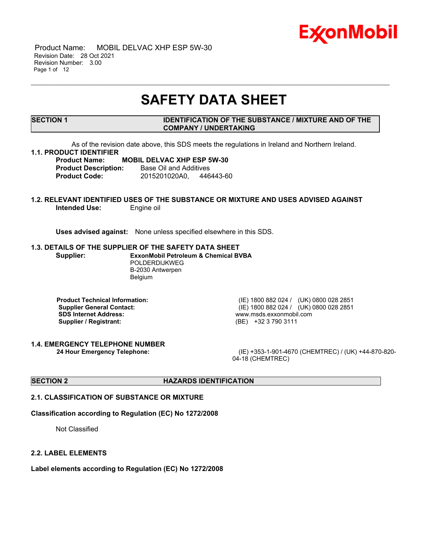

 Product Name: MOBIL DELVAC XHP ESP 5W-30 Revision Date: 28 Oct 2021 Revision Number: 3.00 Page 1 of 12

# **SAFETY DATA SHEET**

\_\_\_\_\_\_\_\_\_\_\_\_\_\_\_\_\_\_\_\_\_\_\_\_\_\_\_\_\_\_\_\_\_\_\_\_\_\_\_\_\_\_\_\_\_\_\_\_\_\_\_\_\_\_\_\_\_\_\_\_\_\_\_\_\_\_\_\_\_\_\_\_\_\_\_\_\_\_\_\_\_\_\_\_\_\_\_\_\_\_\_\_\_\_\_\_\_\_\_\_\_\_\_\_\_\_\_\_\_\_\_\_\_\_\_\_\_

# **SECTION 1 IDENTIFICATION OF THE SUBSTANCE / MIXTURE AND OF THE COMPANY / UNDERTAKING**

As of the revision date above, this SDS meets the regulations in Ireland and Northern Ireland.

# **1.1. PRODUCT IDENTIFIER**

#### **Product Name: MOBIL DELVAC XHP ESP 5W-30 Product Description:** Base Oil and Additives

**Product Code:** 2015201020A0, 446443-60

# **1.2. RELEVANT IDENTIFIED USES OF THE SUBSTANCE OR MIXTURE AND USES ADVISED AGAINST Intended Use:** Engine oil

**Uses advised against:** None unless specified elsewhere in this SDS.

#### **1.3. DETAILS OF THE SUPPLIER OF THE SAFETY DATA SHEET**

**Supplier: ExxonMobil Petroleum & Chemical BVBA** POLDERDIJKWEG B-2030 Antwerpen Belgium

**Product Technical Information:** (IE) 1800 882 024 / (UK) 0800 028 2851 **SDS Internet Address:** www.msds.exxonmobil.com **Supplier / Registrant:** (BE) +32 3 790 3111

**1.4. EMERGENCY TELEPHONE NUMBER**

**Supplier General Contact:** (IE) 1800 882 024 / (UK) 0800 028 2851

**24 Hour Emergency Telephone:** (IE) +353-1-901-4670 (CHEMTREC) / (UK) +44-870-820- 04-18 (CHEMTREC)

# **SECTION 2 HAZARDS IDENTIFICATION**

# **2.1. CLASSIFICATION OF SUBSTANCE OR MIXTURE**

### **Classification according to Regulation (EC) No 1272/2008**

Not Classified

#### **2.2. LABEL ELEMENTS**

**Label elements according to Regulation (EC) No 1272/2008**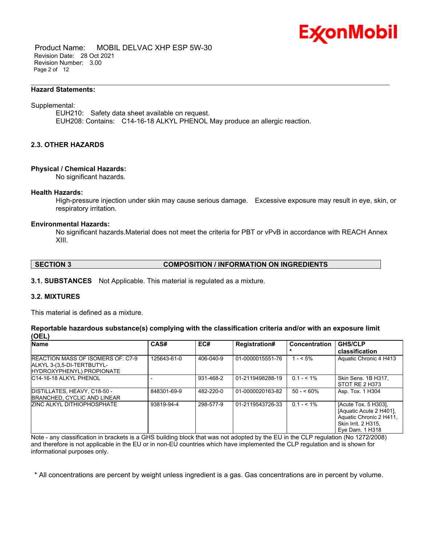

 Product Name: MOBIL DELVAC XHP ESP 5W-30 Revision Date: 28 Oct 2021 Revision Number: 3.00 Page 2 of 12

#### **Hazard Statements:**

#### Supplemental:

EUH210: Safety data sheet available on request. EUH208: Contains: C14-16-18 ALKYL PHENOL May produce an allergic reaction.

\_\_\_\_\_\_\_\_\_\_\_\_\_\_\_\_\_\_\_\_\_\_\_\_\_\_\_\_\_\_\_\_\_\_\_\_\_\_\_\_\_\_\_\_\_\_\_\_\_\_\_\_\_\_\_\_\_\_\_\_\_\_\_\_\_\_\_\_\_\_\_\_\_\_\_\_\_\_\_\_\_\_\_\_\_\_\_\_\_\_\_\_\_\_\_\_\_\_\_\_\_\_\_\_\_\_\_\_\_\_\_\_\_\_\_\_\_

# **2.3. OTHER HAZARDS**

#### **Physical / Chemical Hazards:**

No significant hazards.

#### **Health Hazards:**

High-pressure injection under skin may cause serious damage. Excessive exposure may result in eye, skin, or respiratory irritation.

#### **Environmental Hazards:**

No significant hazards.Material does not meet the criteria for PBT or vPvB in accordance with REACH Annex XIII.

# **SECTION 3 COMPOSITION / INFORMATION ON INGREDIENTS**

**3.1. SUBSTANCES** Not Applicable. This material is regulated as a mixture.

# **3.2. MIXTURES**

This material is defined as a mixture.

### **Reportable hazardous substance(s) complying with the classification criteria and/or with an exposure limit (OEL)**

| Name                                                                                                         | CAS#        | EC#       | <b>Registration#</b> | <b>Concentration</b> | <b>GHS/CLP</b><br>classification                                                                                     |
|--------------------------------------------------------------------------------------------------------------|-------------|-----------|----------------------|----------------------|----------------------------------------------------------------------------------------------------------------------|
| <b>IREACTION MASS OF ISOMERS OF: C7-9</b><br>ALKYL 3-(3,5-DI-TERTBUTYL-<br><b>IHYDROXYPHENYL) PROPIONATE</b> | 125643-61-0 | 406-040-9 | 01-0000015551-76     | $1 - 5\%$            | Aquatic Chronic 4 H413                                                                                               |
| C14-16-18 ALKYL PHENOL                                                                                       |             | 931-468-2 | 01-2119498288-19     | $0.1 - 5.1\%$        | Skin Sens. 1B H317.<br>STOT RE 2 H373                                                                                |
| DISTILLATES, HEAVY, C18-50 -<br><b>IBRANCHED, CYCLIC AND LINEAR</b>                                          | 848301-69-9 | 482-220-0 | 01-0000020163-82     | $50 - 60\%$          | Asp. Tox. 1 H304                                                                                                     |
| <b>ZINC ALKYL DITHIOPHOSPHATE</b>                                                                            | 93819-94-4  | 298-577-9 | 01-2119543726-33     | $0.1 - 5.1\%$        | [Acute Tox. 5 H303],<br>[Aquatic Acute 2 H401].<br>Aquatic Chronic 2 H411.<br>Skin Irrit. 2 H315,<br>Eve Dam. 1 H318 |

Note - any classification in brackets is a GHS building block that was not adopted by the EU in the CLP regulation (No 1272/2008) and therefore is not applicable in the EU or in non-EU countries which have implemented the CLP regulation and is shown for informational purposes only.

\* All concentrations are percent by weight unless ingredient is a gas. Gas concentrations are in percent by volume.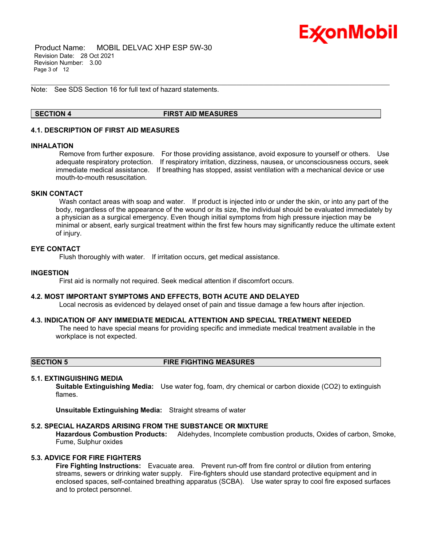

 Product Name: MOBIL DELVAC XHP ESP 5W-30 Revision Date: 28 Oct 2021 Revision Number: 3.00 Page 3 of 12

Note: See SDS Section 16 for full text of hazard statements.

# **SECTION 4 FIRST AID MEASURES**

\_\_\_\_\_\_\_\_\_\_\_\_\_\_\_\_\_\_\_\_\_\_\_\_\_\_\_\_\_\_\_\_\_\_\_\_\_\_\_\_\_\_\_\_\_\_\_\_\_\_\_\_\_\_\_\_\_\_\_\_\_\_\_\_\_\_\_\_\_\_\_\_\_\_\_\_\_\_\_\_\_\_\_\_\_\_\_\_\_\_\_\_\_\_\_\_\_\_\_\_\_\_\_\_\_\_\_\_\_\_\_\_\_\_\_\_\_

# **4.1. DESCRIPTION OF FIRST AID MEASURES**

#### **INHALATION**

Remove from further exposure. For those providing assistance, avoid exposure to yourself or others. Use adequate respiratory protection. If respiratory irritation, dizziness, nausea, or unconsciousness occurs, seek immediate medical assistance. If breathing has stopped, assist ventilation with a mechanical device or use mouth-to-mouth resuscitation.

# **SKIN CONTACT**

Wash contact areas with soap and water. If product is injected into or under the skin, or into any part of the body, regardless of the appearance of the wound or its size, the individual should be evaluated immediately by a physician as a surgical emergency. Even though initial symptoms from high pressure injection may be minimal or absent, early surgical treatment within the first few hours may significantly reduce the ultimate extent of injury.

# **EYE CONTACT**

Flush thoroughly with water. If irritation occurs, get medical assistance.

#### **INGESTION**

First aid is normally not required. Seek medical attention if discomfort occurs.

#### **4.2. MOST IMPORTANT SYMPTOMS AND EFFECTS, BOTH ACUTE AND DELAYED**

Local necrosis as evidenced by delayed onset of pain and tissue damage a few hours after injection.

## **4.3. INDICATION OF ANY IMMEDIATE MEDICAL ATTENTION AND SPECIAL TREATMENT NEEDED**

The need to have special means for providing specific and immediate medical treatment available in the workplace is not expected.

**SECTION 5 FIRE FIGHTING MEASURES**

### **5.1. EXTINGUISHING MEDIA**

**Suitable Extinguishing Media:** Use water fog, foam, dry chemical or carbon dioxide (CO2) to extinguish flames.

**Unsuitable Extinguishing Media:** Straight streams of water

#### **5.2. SPECIAL HAZARDS ARISING FROM THE SUBSTANCE OR MIXTURE**

**Hazardous Combustion Products:** Aldehydes, Incomplete combustion products, Oxides of carbon, Smoke, Fume, Sulphur oxides

# **5.3. ADVICE FOR FIRE FIGHTERS**

**Fire Fighting Instructions:** Evacuate area. Prevent run-off from fire control or dilution from entering streams, sewers or drinking water supply. Fire-fighters should use standard protective equipment and in enclosed spaces, self-contained breathing apparatus (SCBA). Use water spray to cool fire exposed surfaces and to protect personnel.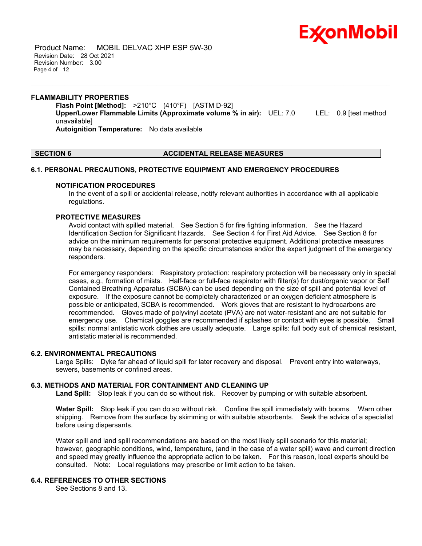

 Product Name: MOBIL DELVAC XHP ESP 5W-30 Revision Date: 28 Oct 2021 Revision Number: 3.00 Page 4 of 12

# **FLAMMABILITY PROPERTIES Flash Point [Method]:** >210°C (410°F) [ASTM D-92] **Upper/Lower Flammable Limits (Approximate volume % in air):** UEL: 7.0 LEL: 0.9 [test method unavailable] **Autoignition Temperature:** No data available

\_\_\_\_\_\_\_\_\_\_\_\_\_\_\_\_\_\_\_\_\_\_\_\_\_\_\_\_\_\_\_\_\_\_\_\_\_\_\_\_\_\_\_\_\_\_\_\_\_\_\_\_\_\_\_\_\_\_\_\_\_\_\_\_\_\_\_\_\_\_\_\_\_\_\_\_\_\_\_\_\_\_\_\_\_\_\_\_\_\_\_\_\_\_\_\_\_\_\_\_\_\_\_\_\_\_\_\_\_\_\_\_\_\_\_\_\_

# **SECTION 6 ACCIDENTAL RELEASE MEASURES**

# **6.1. PERSONAL PRECAUTIONS, PROTECTIVE EQUIPMENT AND EMERGENCY PROCEDURES**

### **NOTIFICATION PROCEDURES**

In the event of a spill or accidental release, notify relevant authorities in accordance with all applicable regulations.

# **PROTECTIVE MEASURES**

Avoid contact with spilled material. See Section 5 for fire fighting information. See the Hazard Identification Section for Significant Hazards. See Section 4 for First Aid Advice. See Section 8 for advice on the minimum requirements for personal protective equipment. Additional protective measures may be necessary, depending on the specific circumstances and/or the expert judgment of the emergency responders.

For emergency responders: Respiratory protection: respiratory protection will be necessary only in special cases, e.g., formation of mists. Half-face or full-face respirator with filter(s) for dust/organic vapor or Self Contained Breathing Apparatus (SCBA) can be used depending on the size of spill and potential level of exposure. If the exposure cannot be completely characterized or an oxygen deficient atmosphere is possible or anticipated, SCBA is recommended. Work gloves that are resistant to hydrocarbons are recommended. Gloves made of polyvinyl acetate (PVA) are not water-resistant and are not suitable for emergency use. Chemical goggles are recommended if splashes or contact with eyes is possible. Small spills: normal antistatic work clothes are usually adequate. Large spills: full body suit of chemical resistant, antistatic material is recommended.

### **6.2. ENVIRONMENTAL PRECAUTIONS**

Large Spills: Dyke far ahead of liquid spill for later recovery and disposal. Prevent entry into waterways, sewers, basements or confined areas.

# **6.3. METHODS AND MATERIAL FOR CONTAINMENT AND CLEANING UP**

**Land Spill:** Stop leak if you can do so without risk. Recover by pumping or with suitable absorbent.

**Water Spill:** Stop leak if you can do so without risk. Confine the spill immediately with booms. Warn other shipping. Remove from the surface by skimming or with suitable absorbents. Seek the advice of a specialist before using dispersants.

Water spill and land spill recommendations are based on the most likely spill scenario for this material; however, geographic conditions, wind, temperature, (and in the case of a water spill) wave and current direction and speed may greatly influence the appropriate action to be taken. For this reason, local experts should be consulted. Note: Local regulations may prescribe or limit action to be taken.

# **6.4. REFERENCES TO OTHER SECTIONS**

See Sections 8 and 13.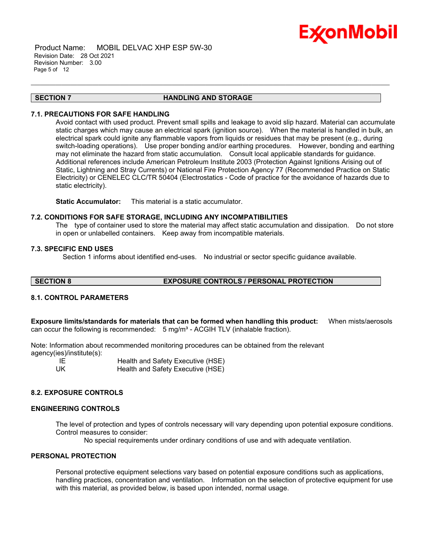

 Product Name: MOBIL DELVAC XHP ESP 5W-30 Revision Date: 28 Oct 2021 Revision Number: 3.00 Page 5 of 12

#### **SECTION 7 HANDLING AND STORAGE**

\_\_\_\_\_\_\_\_\_\_\_\_\_\_\_\_\_\_\_\_\_\_\_\_\_\_\_\_\_\_\_\_\_\_\_\_\_\_\_\_\_\_\_\_\_\_\_\_\_\_\_\_\_\_\_\_\_\_\_\_\_\_\_\_\_\_\_\_\_\_\_\_\_\_\_\_\_\_\_\_\_\_\_\_\_\_\_\_\_\_\_\_\_\_\_\_\_\_\_\_\_\_\_\_\_\_\_\_\_\_\_\_\_\_\_\_\_

# **7.1. PRECAUTIONS FOR SAFE HANDLING**

Avoid contact with used product. Prevent small spills and leakage to avoid slip hazard. Material can accumulate static charges which may cause an electrical spark (ignition source). When the material is handled in bulk, an electrical spark could ignite any flammable vapors from liquids or residues that may be present (e.g., during switch-loading operations). Use proper bonding and/or earthing procedures. However, bonding and earthing may not eliminate the hazard from static accumulation. Consult local applicable standards for guidance. Additional references include American Petroleum Institute 2003 (Protection Against Ignitions Arising out of Static, Lightning and Stray Currents) or National Fire Protection Agency 77 (Recommended Practice on Static Electricity) or CENELEC CLC/TR 50404 (Electrostatics - Code of practice for the avoidance of hazards due to static electricity).

**Static Accumulator:** This material is a static accumulator.

#### **7.2. CONDITIONS FOR SAFE STORAGE, INCLUDING ANY INCOMPATIBILITIES**

The type of container used to store the material may affect static accumulation and dissipation. Do not store in open or unlabelled containers. Keep away from incompatible materials.

### **7.3. SPECIFIC END USES**

Section 1 informs about identified end-uses. No industrial or sector specific guidance available.

# **SECTION 8 EXPOSURE CONTROLS / PERSONAL PROTECTION**

# **8.1. CONTROL PARAMETERS**

**Exposure limits/standards for materials that can be formed when handling this product:** When mists/aerosols can occur the following is recommended:  $5 \text{ mg/m}^3$  - ACGIH TLV (inhalable fraction).

Note: Information about recommended monitoring procedures can be obtained from the relevant agency(ies)/institute(s):

IE **Im Health and Safety Executive (HSE)**<br>UK Health and Safety Executive (HSE) Health and Safety Executive (HSE)

# **8.2. EXPOSURE CONTROLS**

#### **ENGINEERING CONTROLS**

The level of protection and types of controls necessary will vary depending upon potential exposure conditions. Control measures to consider:

No special requirements under ordinary conditions of use and with adequate ventilation.

# **PERSONAL PROTECTION**

Personal protective equipment selections vary based on potential exposure conditions such as applications, handling practices, concentration and ventilation. Information on the selection of protective equipment for use with this material, as provided below, is based upon intended, normal usage.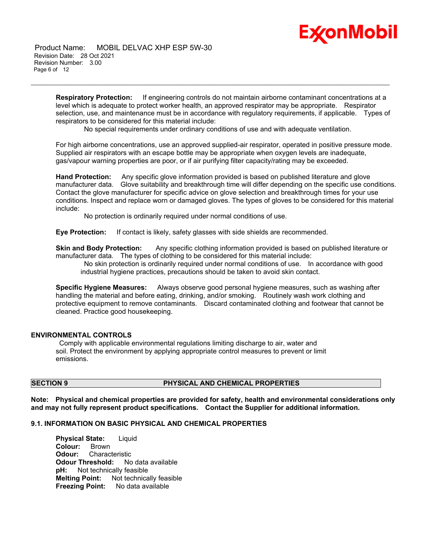

 Product Name: MOBIL DELVAC XHP ESP 5W-30 Revision Date: 28 Oct 2021 Revision Number: 3.00 Page 6 of 12

> **Respiratory Protection:** If engineering controls do not maintain airborne contaminant concentrations at a level which is adequate to protect worker health, an approved respirator may be appropriate. Respirator selection, use, and maintenance must be in accordance with regulatory requirements, if applicable. Types of respirators to be considered for this material include:

No special requirements under ordinary conditions of use and with adequate ventilation.

\_\_\_\_\_\_\_\_\_\_\_\_\_\_\_\_\_\_\_\_\_\_\_\_\_\_\_\_\_\_\_\_\_\_\_\_\_\_\_\_\_\_\_\_\_\_\_\_\_\_\_\_\_\_\_\_\_\_\_\_\_\_\_\_\_\_\_\_\_\_\_\_\_\_\_\_\_\_\_\_\_\_\_\_\_\_\_\_\_\_\_\_\_\_\_\_\_\_\_\_\_\_\_\_\_\_\_\_\_\_\_\_\_\_\_\_\_

For high airborne concentrations, use an approved supplied-air respirator, operated in positive pressure mode. Supplied air respirators with an escape bottle may be appropriate when oxygen levels are inadequate, gas/vapour warning properties are poor, or if air purifying filter capacity/rating may be exceeded.

**Hand Protection:** Any specific glove information provided is based on published literature and glove manufacturer data. Glove suitability and breakthrough time will differ depending on the specific use conditions. Contact the glove manufacturer for specific advice on glove selection and breakthrough times for your use conditions. Inspect and replace worn or damaged gloves. The types of gloves to be considered for this material include:

No protection is ordinarily required under normal conditions of use.

**Eye Protection:** If contact is likely, safety glasses with side shields are recommended.

**Skin and Body Protection:** Any specific clothing information provided is based on published literature or manufacturer data. The types of clothing to be considered for this material include:

No skin protection is ordinarily required under normal conditions of use. In accordance with good industrial hygiene practices, precautions should be taken to avoid skin contact.

**Specific Hygiene Measures:** Always observe good personal hygiene measures, such as washing after handling the material and before eating, drinking, and/or smoking. Routinely wash work clothing and protective equipment to remove contaminants. Discard contaminated clothing and footwear that cannot be cleaned. Practice good housekeeping.

#### **ENVIRONMENTAL CONTROLS**

Comply with applicable environmental regulations limiting discharge to air, water and soil. Protect the environment by applying appropriate control measures to prevent or limit emissions.

# **SECTION 9 PHYSICAL AND CHEMICAL PROPERTIES**

**Note: Physical and chemical properties are provided for safety, health and environmental considerations only and may not fully represent product specifications. Contact the Supplier for additional information.**

# **9.1. INFORMATION ON BASIC PHYSICAL AND CHEMICAL PROPERTIES**

**Physical State:** Liquid **Colour:** Brown **Odour:** Characteristic **Odour Threshold:** No data available<br>**pH:** Not technically feasible **Not technically feasible Melting Point:** Not technically feasible **Freezing Point:** No data available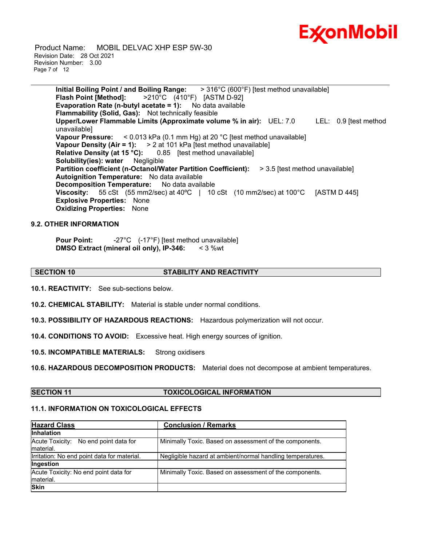

 Product Name: MOBIL DELVAC XHP ESP 5W-30 Revision Date: 28 Oct 2021 Revision Number: 3.00 Page 7 of 12

> **Initial Boiling Point / and Boiling Range:** > 316°C (600°F) [test method unavailable] **Flash Point [Method]:** >210°C (410°F) [ASTM D-92] **Evaporation Rate (n-butyl acetate = 1):** No data available **Flammability (Solid, Gas):** Not technically feasible **Upper/Lower Flammable Limits (Approximate volume % in air):** UEL: 7.0 LEL: 0.9 [test method unavailable] **Vapour Pressure:** < 0.013 kPa (0.1 mm Hg) at 20 °C [test method unavailable] **Vapour Density (Air = 1):** > 2 at 101 kPa [test method unavailable] **Relative Density (at 15 °C):** 0.85 [test method unavailable] **Solubility(ies): water** Negligible **Partition coefficient (n-Octanol/Water Partition Coefficient):** > 3.5 [test method unavailable] **Autoignition Temperature:** No data available **Decomposition Temperature:** No data available **Viscosity:** 55 cSt (55 mm2/sec) at 40ºC | 10 cSt (10 mm2/sec) at 100°C [ASTM D 445] **Explosive Properties:** None **Oxidizing Properties:** None

\_\_\_\_\_\_\_\_\_\_\_\_\_\_\_\_\_\_\_\_\_\_\_\_\_\_\_\_\_\_\_\_\_\_\_\_\_\_\_\_\_\_\_\_\_\_\_\_\_\_\_\_\_\_\_\_\_\_\_\_\_\_\_\_\_\_\_\_\_\_\_\_\_\_\_\_\_\_\_\_\_\_\_\_\_\_\_\_\_\_\_\_\_\_\_\_\_\_\_\_\_\_\_\_\_\_\_\_\_\_\_\_\_\_\_\_\_

### **9.2. OTHER INFORMATION**

**Pour Point:**  $-27^{\circ}$ C (-17<sup>°</sup>F) [test method unavailable] **DMSO Extract (mineral oil only), IP-346:** < 3 %wt

# **SECTION 10 STABILITY AND REACTIVITY**

**10.1. REACTIVITY:** See sub-sections below.

**10.2. CHEMICAL STABILITY:** Material is stable under normal conditions.

**10.3. POSSIBILITY OF HAZARDOUS REACTIONS:** Hazardous polymerization will not occur.

**10.4. CONDITIONS TO AVOID:** Excessive heat. High energy sources of ignition.

**10.5. INCOMPATIBLE MATERIALS:** Strong oxidisers

**10.6. HAZARDOUS DECOMPOSITION PRODUCTS:** Material does not decompose at ambient temperatures.

# **SECTION 11 TOXICOLOGICAL INFORMATION**

# **11.1. INFORMATION ON TOXICOLOGICAL EFFECTS**

| <b>Hazard Class</b>                                 | <b>Conclusion / Remarks</b>                                |  |  |
|-----------------------------------------------------|------------------------------------------------------------|--|--|
| <b>Inhalation</b>                                   |                                                            |  |  |
| Acute Toxicity: No end point data for<br>Imaterial. | Minimally Toxic. Based on assessment of the components.    |  |  |
| Irritation: No end point data for material.         | Negligible hazard at ambient/normal handling temperatures. |  |  |
| Ingestion                                           |                                                            |  |  |
| Acute Toxicity: No end point data for<br>Imaterial. | Minimally Toxic. Based on assessment of the components.    |  |  |
| <b>Skin</b>                                         |                                                            |  |  |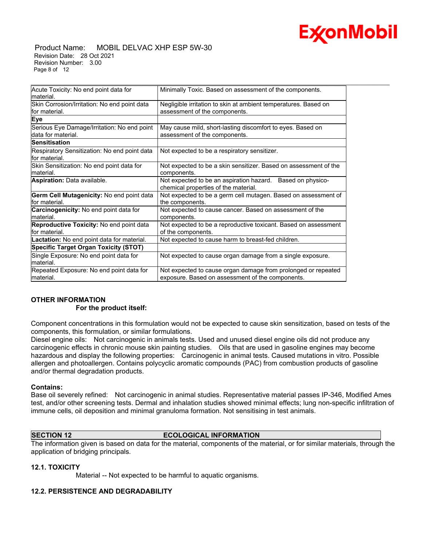

#### Product Name: MOBIL DELVAC XHP ESP 5W-30 Revision Date: 28 Oct 2021 Revision Number: 3.00 Page 8 of 12

| Acute Toxicity: No end point data for<br>lmaterial.                | Minimally Toxic. Based on assessment of the components.                                                           |
|--------------------------------------------------------------------|-------------------------------------------------------------------------------------------------------------------|
| Skin Corrosion/Irritation: No end point data<br>for material.      | Negligible irritation to skin at ambient temperatures. Based on<br>assessment of the components.                  |
| Eye                                                                |                                                                                                                   |
| Serious Eye Damage/Irritation: No end point<br>ldata for material. | May cause mild, short-lasting discomfort to eyes. Based on<br>assessment of the components.                       |
| <b>Sensitisation</b>                                               |                                                                                                                   |
| Respiratory Sensitization: No end point data<br>for material.      | Not expected to be a respiratory sensitizer.                                                                      |
| Skin Sensitization: No end point data for<br>Imaterial.            | Not expected to be a skin sensitizer. Based on assessment of the<br>components.                                   |
| Aspiration: Data available.                                        | Not expected to be an aspiration hazard. Based on physico-<br>chemical properties of the material.                |
| Germ Cell Mutagenicity: No end point data<br>for material.         | Not expected to be a germ cell mutagen. Based on assessment of<br>the components.                                 |
| Carcinogenicity: No end point data for<br>material.                | Not expected to cause cancer. Based on assessment of the<br>components.                                           |
| Reproductive Toxicity: No end point data<br>for material.          | Not expected to be a reproductive toxicant. Based on assessment<br>of the components.                             |
| Lactation: No end point data for material.                         | Not expected to cause harm to breast-fed children.                                                                |
| <b>Specific Target Organ Toxicity (STOT)</b>                       |                                                                                                                   |
| Single Exposure: No end point data for<br>material.                | Not expected to cause organ damage from a single exposure.                                                        |
| Repeated Exposure: No end point data for<br>material.              | Not expected to cause organ damage from prolonged or repeated<br>exposure. Based on assessment of the components. |

# **OTHER INFORMATION For the product itself:**

Component concentrations in this formulation would not be expected to cause skin sensitization, based on tests of the components, this formulation, or similar formulations.

Diesel engine oils: Not carcinogenic in animals tests. Used and unused diesel engine oils did not produce any carcinogenic effects in chronic mouse skin painting studies. Oils that are used in gasoline engines may become hazardous and display the following properties: Carcinogenic in animal tests. Caused mutations in vitro. Possible allergen and photoallergen. Contains polycyclic aromatic compounds (PAC) from combustion products of gasoline and/or thermal degradation products.

# **Contains:**

Base oil severely refined: Not carcinogenic in animal studies. Representative material passes IP-346, Modified Ames test, and/or other screening tests. Dermal and inhalation studies showed minimal effects; lung non-specific infiltration of immune cells, oil deposition and minimal granuloma formation. Not sensitising in test animals.

# **SECTION 12 ECOLOGICAL INFORMATION**

The information given is based on data for the material, components of the material, or for similar materials, through the application of bridging principals.

# **12.1. TOXICITY**

Material -- Not expected to be harmful to aquatic organisms.

# **12.2. PERSISTENCE AND DEGRADABILITY**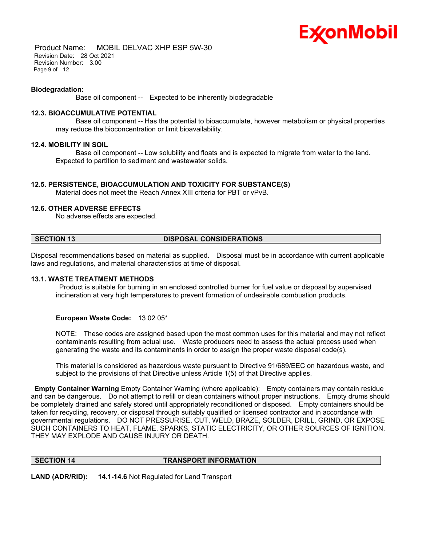

 Product Name: MOBIL DELVAC XHP ESP 5W-30 Revision Date: 28 Oct 2021 Revision Number: 3.00 Page 9 of 12

#### **Biodegradation:**

Base oil component -- Expected to be inherently biodegradable

# **12.3. BIOACCUMULATIVE POTENTIAL**

 Base oil component -- Has the potential to bioaccumulate, however metabolism or physical properties may reduce the bioconcentration or limit bioavailability.

#### **12.4. MOBILITY IN SOIL**

 Base oil component -- Low solubility and floats and is expected to migrate from water to the land. Expected to partition to sediment and wastewater solids.

\_\_\_\_\_\_\_\_\_\_\_\_\_\_\_\_\_\_\_\_\_\_\_\_\_\_\_\_\_\_\_\_\_\_\_\_\_\_\_\_\_\_\_\_\_\_\_\_\_\_\_\_\_\_\_\_\_\_\_\_\_\_\_\_\_\_\_\_\_\_\_\_\_\_\_\_\_\_\_\_\_\_\_\_\_\_\_\_\_\_\_\_\_\_\_\_\_\_\_\_\_\_\_\_\_\_\_\_\_\_\_\_\_\_\_\_\_

### **12.5. PERSISTENCE, BIOACCUMULATION AND TOXICITY FOR SUBSTANCE(S)**

Material does not meet the Reach Annex XIII criteria for PBT or vPvB.

# **12.6. OTHER ADVERSE EFFECTS**

No adverse effects are expected.

# **SECTION 13 DISPOSAL CONSIDERATIONS**

Disposal recommendations based on material as supplied. Disposal must be in accordance with current applicable laws and regulations, and material characteristics at time of disposal.

#### **13.1. WASTE TREATMENT METHODS**

Product is suitable for burning in an enclosed controlled burner for fuel value or disposal by supervised incineration at very high temperatures to prevent formation of undesirable combustion products.

# **European Waste Code:** 13 02 05\*

NOTE: These codes are assigned based upon the most common uses for this material and may not reflect contaminants resulting from actual use. Waste producers need to assess the actual process used when generating the waste and its contaminants in order to assign the proper waste disposal code(s).

This material is considered as hazardous waste pursuant to Directive 91/689/EEC on hazardous waste, and subject to the provisions of that Directive unless Article 1(5) of that Directive applies.

**Empty Container Warning** Empty Container Warning (where applicable): Empty containers may contain residue and can be dangerous. Do not attempt to refill or clean containers without proper instructions. Empty drums should be completely drained and safely stored until appropriately reconditioned or disposed. Empty containers should be taken for recycling, recovery, or disposal through suitably qualified or licensed contractor and in accordance with governmental regulations. DO NOT PRESSURISE, CUT, WELD, BRAZE, SOLDER, DRILL, GRIND, OR EXPOSE SUCH CONTAINERS TO HEAT, FLAME, SPARKS, STATIC ELECTRICITY, OR OTHER SOURCES OF IGNITION. THEY MAY EXPLODE AND CAUSE INJURY OR DEATH.

#### **SECTION 14 TRANSPORT INFORMATION**

**LAND (ADR/RID): 14.1-14.6** Not Regulated for Land Transport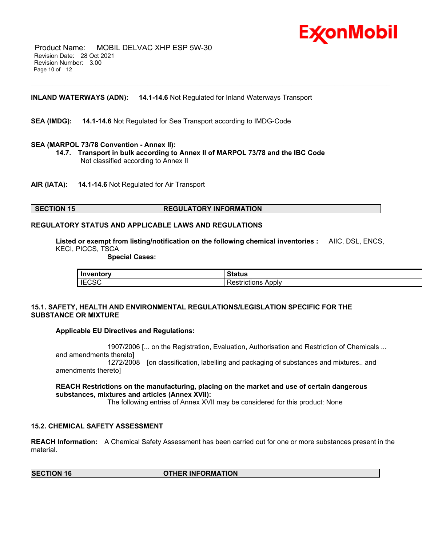

 Product Name: MOBIL DELVAC XHP ESP 5W-30 Revision Date: 28 Oct 2021 Revision Number: 3.00 Page 10 of 12

# **INLAND WATERWAYS (ADN): 14.1-14.6** Not Regulated for Inland Waterways Transport

**SEA (IMDG): 14.1-14.6** Not Regulated for Sea Transport according to IMDG-Code

### **SEA (MARPOL 73/78 Convention - Annex II):**

**14.7. Transport in bulk according to Annex II of MARPOL 73/78 and the IBC Code** Not classified according to Annex II

\_\_\_\_\_\_\_\_\_\_\_\_\_\_\_\_\_\_\_\_\_\_\_\_\_\_\_\_\_\_\_\_\_\_\_\_\_\_\_\_\_\_\_\_\_\_\_\_\_\_\_\_\_\_\_\_\_\_\_\_\_\_\_\_\_\_\_\_\_\_\_\_\_\_\_\_\_\_\_\_\_\_\_\_\_\_\_\_\_\_\_\_\_\_\_\_\_\_\_\_\_\_\_\_\_\_\_\_\_\_\_\_\_\_\_\_\_

**AIR (IATA): 14.1-14.6** Not Regulated for Air Transport

### **SECTION 15 REGULATORY INFORMATION**

# **REGULATORY STATUS AND APPLICABLE LAWS AND REGULATIONS**

**Listed or exempt from listing/notification on the following chemical inventories :** AIIC, DSL, ENCS, KECI, PICCS, TSCA

 **Special Cases:**

| Inventory                      | $\sim$ $\sim$ $\sim$ $\sim$ $\sim$<br>้อเสเนร |
|--------------------------------|-----------------------------------------------|
| $\mathsf{I}$ IECS $\mathsf{C}$ | Apply<br>$      -$<br>TICTIONS.               |

# **15.1. SAFETY, HEALTH AND ENVIRONMENTAL REGULATIONS/LEGISLATION SPECIFIC FOR THE SUBSTANCE OR MIXTURE**

#### **Applicable EU Directives and Regulations:**

 1907/2006 [... on the Registration, Evaluation, Authorisation and Restriction of Chemicals ... and amendments thereto] 1272/2008 [on classification, labelling and packaging of substances and mixtures.. and amendments thereto]

# **REACH Restrictions on the manufacturing, placing on the market and use of certain dangerous substances, mixtures and articles (Annex XVII):**

The following entries of Annex XVII may be considered for this product: None

# **15.2. CHEMICAL SAFETY ASSESSMENT**

**REACH Information:** A Chemical Safety Assessment has been carried out for one or more substances present in the material.

**SECTION 16 OTHER INFORMATION**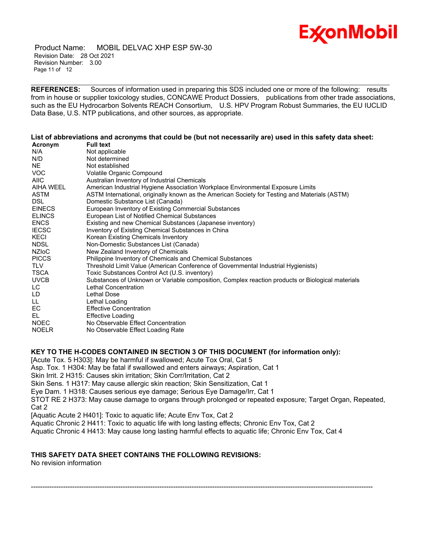

 Product Name: MOBIL DELVAC XHP ESP 5W-30 Revision Date: 28 Oct 2021 Revision Number: 3.00 Page 11 of 12

**REFERENCES:** Sources of information used in preparing this SDS included one or more of the following: results from in house or supplier toxicology studies, CONCAWE Product Dossiers, publications from other trade associations, such as the EU Hydrocarbon Solvents REACH Consortium, U.S. HPV Program Robust Summaries, the EU IUCLID Data Base, U.S. NTP publications, and other sources, as appropriate.

\_\_\_\_\_\_\_\_\_\_\_\_\_\_\_\_\_\_\_\_\_\_\_\_\_\_\_\_\_\_\_\_\_\_\_\_\_\_\_\_\_\_\_\_\_\_\_\_\_\_\_\_\_\_\_\_\_\_\_\_\_\_\_\_\_\_\_\_\_\_\_\_\_\_\_\_\_\_\_\_\_\_\_\_\_\_\_\_\_\_\_\_\_\_\_\_\_\_\_\_\_\_\_\_\_\_\_\_\_\_\_\_\_\_\_\_\_

# List of abbreviations and acronyms that could be (but not necessarily are) used in this safety data sheet:

| Acronym       | <b>Full text</b>                                                                                 |
|---------------|--------------------------------------------------------------------------------------------------|
| N/A           | Not applicable                                                                                   |
| N/D           | Not determined                                                                                   |
| NE.           | Not established                                                                                  |
| VOC.          | Volatile Organic Compound                                                                        |
| <b>AIIC</b>   | Australian Inventory of Industrial Chemicals                                                     |
| AIHA WEEL     | American Industrial Hygiene Association Workplace Environmental Exposure Limits                  |
| <b>ASTM</b>   | ASTM International, originally known as the American Society for Testing and Materials (ASTM)    |
| DSL.          | Domestic Substance List (Canada)                                                                 |
| <b>EINECS</b> | European Inventory of Existing Commercial Substances                                             |
| <b>ELINCS</b> | European List of Notified Chemical Substances                                                    |
| <b>ENCS</b>   | Existing and new Chemical Substances (Japanese inventory)                                        |
| <b>IECSC</b>  | Inventory of Existing Chemical Substances in China                                               |
| KECI          | Korean Existing Chemicals Inventory                                                              |
| <b>NDSL</b>   | Non-Domestic Substances List (Canada)                                                            |
| <b>NZIOC</b>  | New Zealand Inventory of Chemicals                                                               |
| <b>PICCS</b>  | Philippine Inventory of Chemicals and Chemical Substances                                        |
| <b>TLV</b>    | Threshold Limit Value (American Conference of Governmental Industrial Hygienists)                |
| TSCA          | Toxic Substances Control Act (U.S. inventory)                                                    |
| <b>UVCB</b>   | Substances of Unknown or Variable composition, Complex reaction products or Biological materials |
| LC            | Lethal Concentration                                                                             |
| LD            | Lethal Dose                                                                                      |
| LL.           | Lethal Loading                                                                                   |
| EC            | <b>Effective Concentration</b>                                                                   |
| EL            | Effective Loading                                                                                |
| <b>NOEC</b>   | No Observable Effect Concentration                                                               |
| <b>NOELR</b>  | No Observable Effect Loading Rate                                                                |

# **KEY TO THE H-CODES CONTAINED IN SECTION 3 OF THIS DOCUMENT (for information only):**

[Acute Tox. 5 H303]: May be harmful if swallowed; Acute Tox Oral, Cat 5

Asp. Tox. 1 H304: May be fatal if swallowed and enters airways; Aspiration, Cat 1

Skin Irrit. 2 H315: Causes skin irritation; Skin Corr/Irritation, Cat 2

Skin Sens. 1 H317: May cause allergic skin reaction; Skin Sensitization, Cat 1

Eye Dam. 1 H318: Causes serious eye damage; Serious Eye Damage/Irr, Cat 1

STOT RE 2 H373: May cause damage to organs through prolonged or repeated exposure; Target Organ, Repeated, Cat 2

[Aquatic Acute 2 H401]: Toxic to aquatic life; Acute Env Tox, Cat 2

Aquatic Chronic 2 H411: Toxic to aquatic life with long lasting effects; Chronic Env Tox, Cat 2

Aquatic Chronic 4 H413: May cause long lasting harmful effects to aquatic life; Chronic Env Tox, Cat 4

# **THIS SAFETY DATA SHEET CONTAINS THE FOLLOWING REVISIONS:**

No revision information

-----------------------------------------------------------------------------------------------------------------------------------------------------